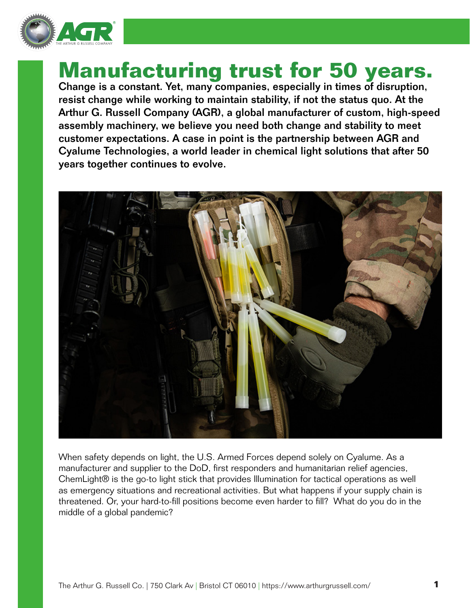

# **Manufacturing trust for 50 years.**

Change is a constant. Yet, many companies, especially in times of disruption, resist change while working to maintain stability, if not the status quo. At the Arthur G. Russell Company (AGR), a global manufacturer of custom, high-speed assembly machinery, we believe you need both change and stability to meet customer expectations. A case in point is the partnership between AGR and Cyalume Technologies, a world leader in chemical light solutions that after 50 years together continues to evolve.



When safety depends on light, the U.S. Armed Forces depend solely on Cyalume. As a manufacturer and supplier to the DoD, first responders and humanitarian relief agencies, ChemLight® is the go-to light stick that provides Illumination for tactical operations as well as emergency situations and recreational activities. But what happens if your supply chain is threatened. Or, your hard-to-fill positions become even harder to fill? What do you do in the middle of a global pandemic?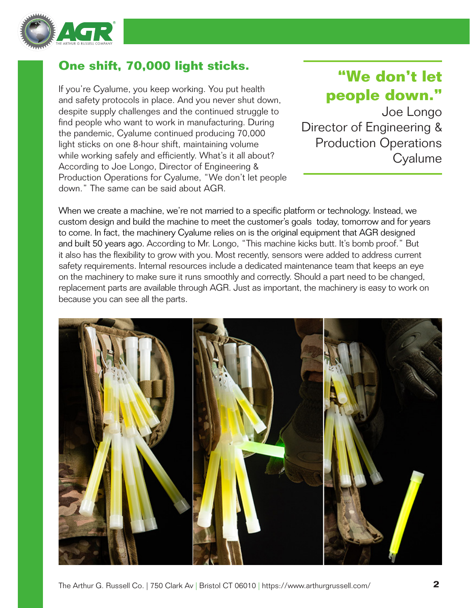

### **One shift, 70,000 light sticks.**

If you're Cyalume, you keep working. You put health and safety protocols in place. And you never shut down, despite supply challenges and the continued struggle to find people who want to work in manufacturing. During the pandemic, Cyalume continued producing 70,000 light sticks on one 8-hour shift, maintaining volume while working safely and efficiently. What's it all about? According to Joe Longo, Director of Engineering & Production Operations for Cyalume, "We don't let people down." The same can be said about AGR.

### **"We don't let people down."**

Joe Longo Director of Engineering & Production Operations **Cyalume** 

When we create a machine, we're not married to a specific platform or technology. Instead, we custom design and build the machine to meet the customer's goals today, tomorrow and for years to come. In fact, the machinery Cyalume relies on is the original equipment that AGR designed and built 50 years ago. According to Mr. Longo, "This machine kicks butt. It's bomb proof." But it also has the flexibility to grow with you. Most recently, sensors were added to address current safety requirements. Internal resources include a dedicated maintenance team that keeps an eye on the machinery to make sure it runs smoothly and correctly. Should a part need to be changed, replacement parts are available through AGR. Just as important, the machinery is easy to work on because you can see all the parts.